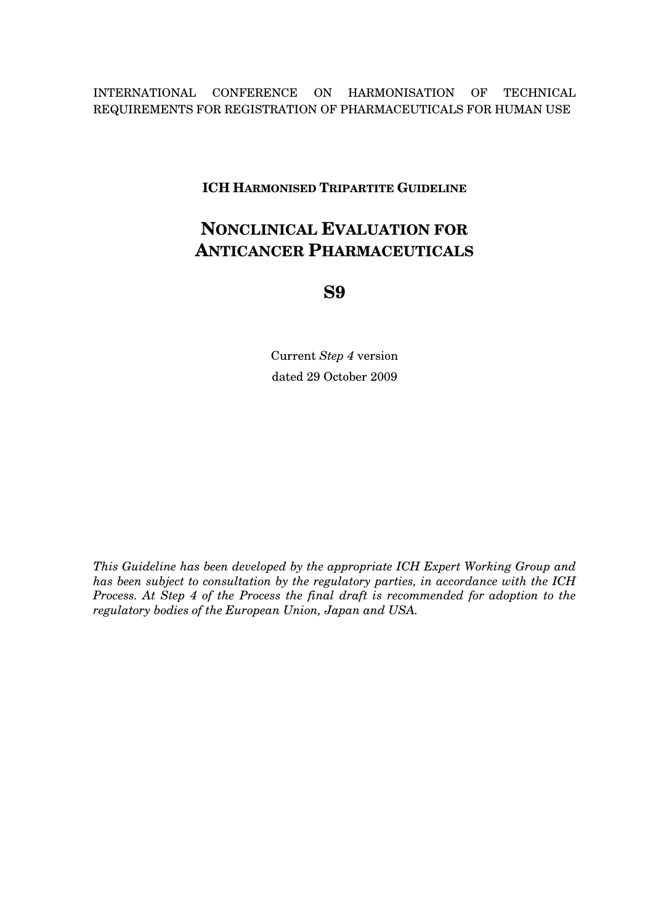INTERNATIONAL CONFERENCE ON HARMONISATION OF TECHNICAL REQUIREMENTS FOR REGISTRATION OF PHARMACEUTICALS FOR HUMAN USE

**ICH HARMONISED TRIPARTITE GUIDELINE** 

# **NONCLINICAL EVALUATION FOR ANTICANCER PHARMACEUTICALS**

**S9** 

Current *Step 4* version dated 29 October 2009

*This Guideline has been developed by the appropriate ICH Expert Working Group and has been subject to consultation by the regulatory parties, in accordance with the ICH Process. At Step 4 of the Process the final draft is recommended for adoption to the regulatory bodies of the European Union, Japan and USA.*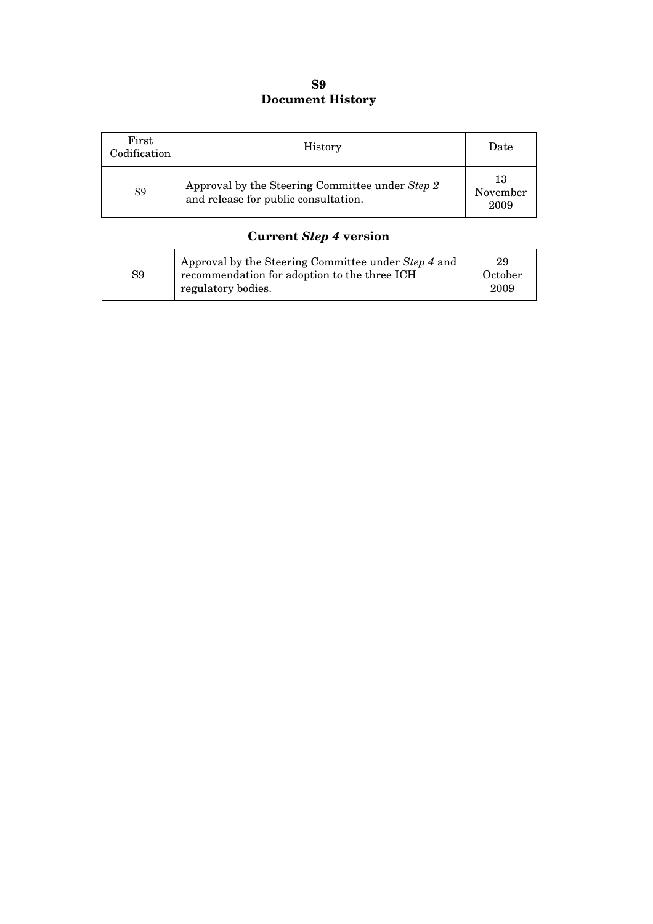## **S9 Document History**

| First<br>Codification | <b>History</b>                                                                          | Date                   |
|-----------------------|-----------------------------------------------------------------------------------------|------------------------|
| S <sub>9</sub>        | Approval by the Steering Committee under Step 2<br>and release for public consultation. | 13<br>November<br>2009 |

# **Current** *Step 4* **version**

| S9 | Approval by the Steering Committee under Step 4 and<br>recommendation for adoption to the three ICH<br>regulatory bodies. | 29<br>October<br>2009 |
|----|---------------------------------------------------------------------------------------------------------------------------|-----------------------|
|----|---------------------------------------------------------------------------------------------------------------------------|-----------------------|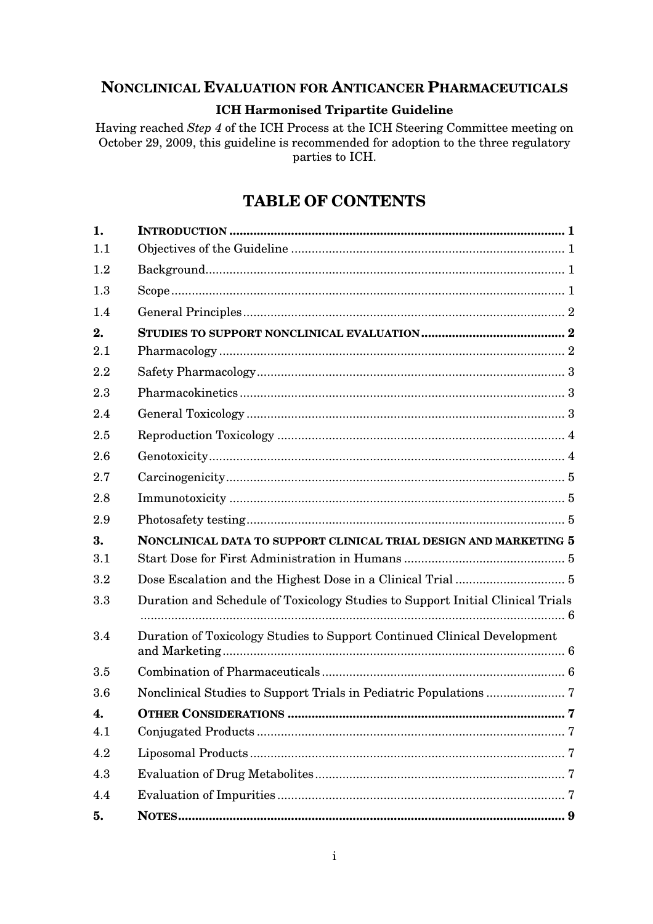## **NONCLINICAL EVALUATION FOR ANTICANCER PHARMACEUTICALS**

#### **ICH Harmonised Tripartite Guideline**

Having reached *Step 4* of the ICH Process at the ICH Steering Committee meeting on October 29, 2009, this guideline is recommended for adoption to the three regulatory parties to ICH.

# **TABLE OF CONTENTS**

| 1.  |                                                                                |  |
|-----|--------------------------------------------------------------------------------|--|
| 1.1 |                                                                                |  |
| 1.2 |                                                                                |  |
| 1.3 |                                                                                |  |
| 1.4 |                                                                                |  |
| 2.  |                                                                                |  |
| 2.1 |                                                                                |  |
| 2.2 |                                                                                |  |
| 2.3 |                                                                                |  |
| 2.4 |                                                                                |  |
| 2.5 |                                                                                |  |
| 2.6 |                                                                                |  |
| 2.7 |                                                                                |  |
| 2.8 |                                                                                |  |
| 2.9 |                                                                                |  |
| 3.  | NONCLINICAL DATA TO SUPPORT CLINICAL TRIAL DESIGN AND MARKETING 5              |  |
| 3.1 |                                                                                |  |
| 3.2 |                                                                                |  |
| 3.3 | Duration and Schedule of Toxicology Studies to Support Initial Clinical Trials |  |
| 3.4 | Duration of Toxicology Studies to Support Continued Clinical Development       |  |
| 3.5 |                                                                                |  |
| 3.6 |                                                                                |  |
| 4.  | . 7                                                                            |  |
| 4.1 |                                                                                |  |
| 4.2 |                                                                                |  |
| 4.3 |                                                                                |  |
| 4.4 |                                                                                |  |
| 5.  |                                                                                |  |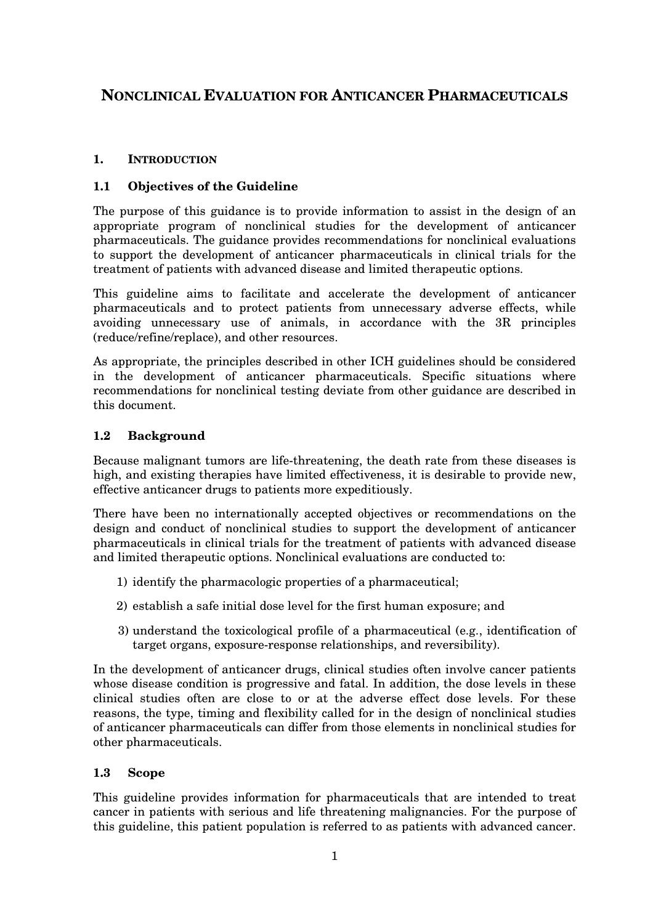# **NONCLINICAL EVALUATION FOR ANTICANCER PHARMACEUTICALS**

#### **1. INTRODUCTION**

#### **1.1 Objectives of the Guideline**

The purpose of this guidance is to provide information to assist in the design of an appropriate program of nonclinical studies for the development of anticancer pharmaceuticals. The guidance provides recommendations for nonclinical evaluations to support the development of anticancer pharmaceuticals in clinical trials for the treatment of patients with advanced disease and limited therapeutic options.

This guideline aims to facilitate and accelerate the development of anticancer pharmaceuticals and to protect patients from unnecessary adverse effects, while avoiding unnecessary use of animals, in accordance with the 3R principles (reduce/refine/replace), and other resources.

As appropriate, the principles described in other ICH guidelines should be considered in the development of anticancer pharmaceuticals. Specific situations where recommendations for nonclinical testing deviate from other guidance are described in this document.

#### **1.2 Background**

Because malignant tumors are life-threatening, the death rate from these diseases is high, and existing therapies have limited effectiveness, it is desirable to provide new, effective anticancer drugs to patients more expeditiously.

There have been no internationally accepted objectives or recommendations on the design and conduct of nonclinical studies to support the development of anticancer pharmaceuticals in clinical trials for the treatment of patients with advanced disease and limited therapeutic options. Nonclinical evaluations are conducted to:

- 1) identify the pharmacologic properties of a pharmaceutical;
- 2) establish a safe initial dose level for the first human exposure; and
- 3) understand the toxicological profile of a pharmaceutical (e.g., identification of target organs, exposure-response relationships, and reversibility).

In the development of anticancer drugs, clinical studies often involve cancer patients whose disease condition is progressive and fatal. In addition, the dose levels in these clinical studies often are close to or at the adverse effect dose levels. For these reasons, the type, timing and flexibility called for in the design of nonclinical studies of anticancer pharmaceuticals can differ from those elements in nonclinical studies for other pharmaceuticals.

#### **1.3 Scope**

This guideline provides information for pharmaceuticals that are intended to treat cancer in patients with serious and life threatening malignancies. For the purpose of this guideline, this patient population is referred to as patients with advanced cancer.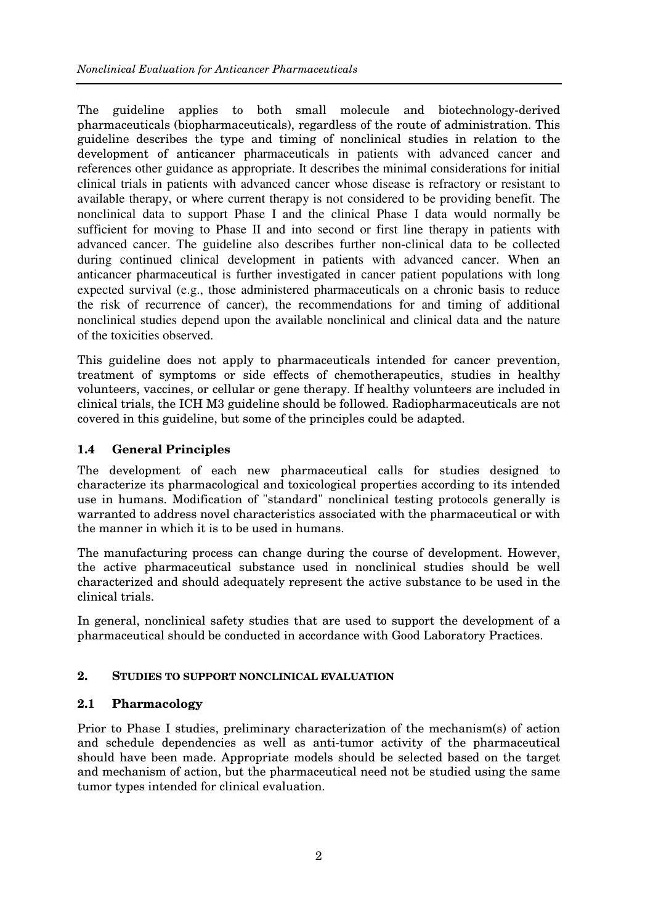The guideline applies to both small molecule and biotechnology-derived pharmaceuticals (biopharmaceuticals), regardless of the route of administration. This guideline describes the type and timing of nonclinical studies in relation to the development of anticancer pharmaceuticals in patients with advanced cancer and references other guidance as appropriate. It describes the minimal considerations for initial clinical trials in patients with advanced cancer whose disease is refractory or resistant to available therapy, or where current therapy is not considered to be providing benefit. The nonclinical data to support Phase I and the clinical Phase I data would normally be sufficient for moving to Phase II and into second or first line therapy in patients with advanced cancer. The guideline also describes further non-clinical data to be collected during continued clinical development in patients with advanced cancer. When an anticancer pharmaceutical is further investigated in cancer patient populations with long expected survival (e.g., those administered pharmaceuticals on a chronic basis to reduce the risk of recurrence of cancer), the recommendations for and timing of additional nonclinical studies depend upon the available nonclinical and clinical data and the nature of the toxicities observed.

This guideline does not apply to pharmaceuticals intended for cancer prevention, treatment of symptoms or side effects of chemotherapeutics, studies in healthy volunteers, vaccines, or cellular or gene therapy. If healthy volunteers are included in clinical trials, the ICH M3 guideline should be followed. Radiopharmaceuticals are not covered in this guideline, but some of the principles could be adapted.

## **1.4 General Principles**

The development of each new pharmaceutical calls for studies designed to characterize its pharmacological and toxicological properties according to its intended use in humans. Modification of "standard" nonclinical testing protocols generally is warranted to address novel characteristics associated with the pharmaceutical or with the manner in which it is to be used in humans.

The manufacturing process can change during the course of development. However, the active pharmaceutical substance used in nonclinical studies should be well characterized and should adequately represent the active substance to be used in the clinical trials.

In general, nonclinical safety studies that are used to support the development of a pharmaceutical should be conducted in accordance with Good Laboratory Practices.

## **2. STUDIES TO SUPPORT NONCLINICAL EVALUATION**

## **2.1 Pharmacology**

Prior to Phase I studies, preliminary characterization of the mechanism(s) of action and schedule dependencies as well as anti-tumor activity of the pharmaceutical should have been made. Appropriate models should be selected based on the target and mechanism of action, but the pharmaceutical need not be studied using the same tumor types intended for clinical evaluation.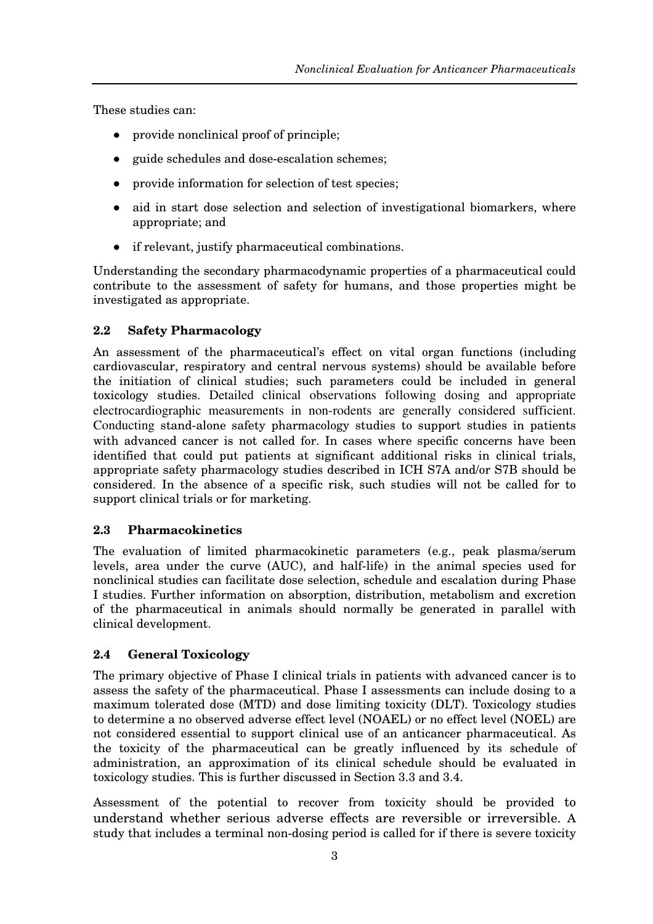These studies can:

- provide nonclinical proof of principle;
- guide schedules and dose-escalation schemes;
- provide information for selection of test species;
- aid in start dose selection and selection of investigational biomarkers, where appropriate; and
- if relevant, justify pharmaceutical combinations.

Understanding the secondary pharmacodynamic properties of a pharmaceutical could contribute to the assessment of safety for humans, and those properties might be investigated as appropriate.

## **2.2 Safety Pharmacology**

An assessment of the pharmaceutical's effect on vital organ functions (including cardiovascular, respiratory and central nervous systems) should be available before the initiation of clinical studies; such parameters could be included in general toxicology studies. Detailed clinical observations following dosing and appropriate electrocardiographic measurements in non-rodents are generally considered sufficient. Conducting stand-alone safety pharmacology studies to support studies in patients with advanced cancer is not called for. In cases where specific concerns have been identified that could put patients at significant additional risks in clinical trials, appropriate safety pharmacology studies described in ICH S7A and/or S7B should be considered. In the absence of a specific risk, such studies will not be called for to support clinical trials or for marketing.

## **2.3 Pharmacokinetics**

The evaluation of limited pharmacokinetic parameters (e.g., peak plasma/serum levels, area under the curve (AUC), and half-life) in the animal species used for nonclinical studies can facilitate dose selection, schedule and escalation during Phase I studies. Further information on absorption, distribution, metabolism and excretion of the pharmaceutical in animals should normally be generated in parallel with clinical development.

## **2.4 General Toxicology**

The primary objective of Phase I clinical trials in patients with advanced cancer is to assess the safety of the pharmaceutical. Phase I assessments can include dosing to a maximum tolerated dose (MTD) and dose limiting toxicity (DLT). Toxicology studies to determine a no observed adverse effect level (NOAEL) or no effect level (NOEL) are not considered essential to support clinical use of an anticancer pharmaceutical. As the toxicity of the pharmaceutical can be greatly influenced by its schedule of administration, an approximation of its clinical schedule should be evaluated in toxicology studies. This is further discussed in Section 3.3 and 3.4.

Assessment of the potential to recover from toxicity should be provided to understand whether serious adverse effects are reversible or irreversible. A study that includes a terminal non-dosing period is called for if there is severe toxicity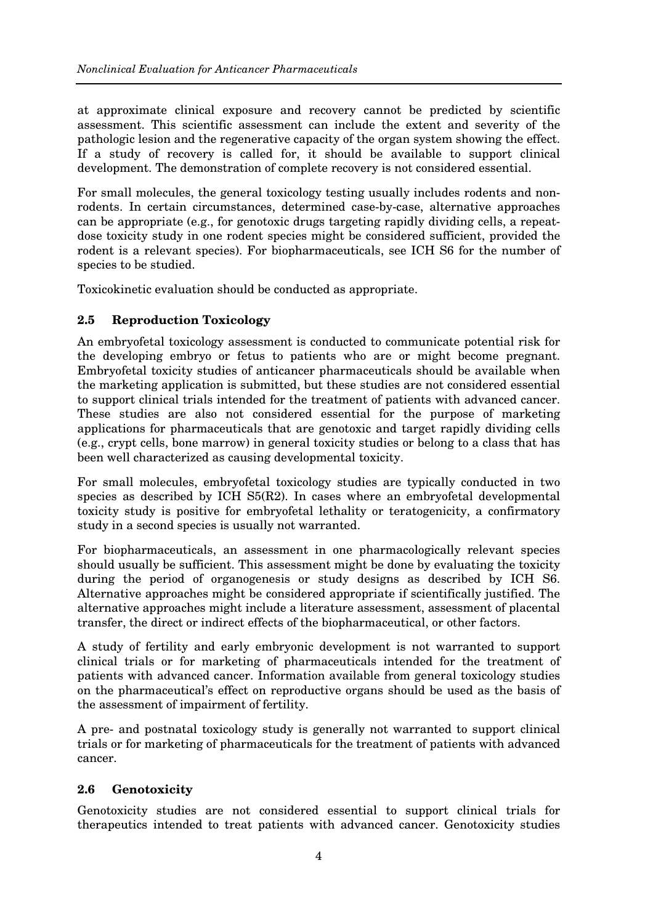at approximate clinical exposure and recovery cannot be predicted by scientific assessment. This scientific assessment can include the extent and severity of the pathologic lesion and the regenerative capacity of the organ system showing the effect. If a study of recovery is called for, it should be available to support clinical development. The demonstration of complete recovery is not considered essential.

For small molecules, the general toxicology testing usually includes rodents and nonrodents. In certain circumstances, determined case-by-case, alternative approaches can be appropriate (e.g., for genotoxic drugs targeting rapidly dividing cells, a repeatdose toxicity study in one rodent species might be considered sufficient, provided the rodent is a relevant species). For biopharmaceuticals, see ICH S6 for the number of species to be studied.

Toxicokinetic evaluation should be conducted as appropriate.

## **2.5 Reproduction Toxicology**

An embryofetal toxicology assessment is conducted to communicate potential risk for the developing embryo or fetus to patients who are or might become pregnant. Embryofetal toxicity studies of anticancer pharmaceuticals should be available when the marketing application is submitted, but these studies are not considered essential to support clinical trials intended for the treatment of patients with advanced cancer. These studies are also not considered essential for the purpose of marketing applications for pharmaceuticals that are genotoxic and target rapidly dividing cells (e.g., crypt cells, bone marrow) in general toxicity studies or belong to a class that has been well characterized as causing developmental toxicity.

For small molecules, embryofetal toxicology studies are typically conducted in two species as described by ICH S5(R2). In cases where an embryofetal developmental toxicity study is positive for embryofetal lethality or teratogenicity, a confirmatory study in a second species is usually not warranted.

For biopharmaceuticals, an assessment in one pharmacologically relevant species should usually be sufficient. This assessment might be done by evaluating the toxicity during the period of organogenesis or study designs as described by ICH S6. Alternative approaches might be considered appropriate if scientifically justified. The alternative approaches might include a literature assessment, assessment of placental transfer, the direct or indirect effects of the biopharmaceutical, or other factors.

A study of fertility and early embryonic development is not warranted to support clinical trials or for marketing of pharmaceuticals intended for the treatment of patients with advanced cancer. Information available from general toxicology studies on the pharmaceutical's effect on reproductive organs should be used as the basis of the assessment of impairment of fertility.

A pre- and postnatal toxicology study is generally not warranted to support clinical trials or for marketing of pharmaceuticals for the treatment of patients with advanced cancer.

## **2.6 Genotoxicity**

Genotoxicity studies are not considered essential to support clinical trials for therapeutics intended to treat patients with advanced cancer. Genotoxicity studies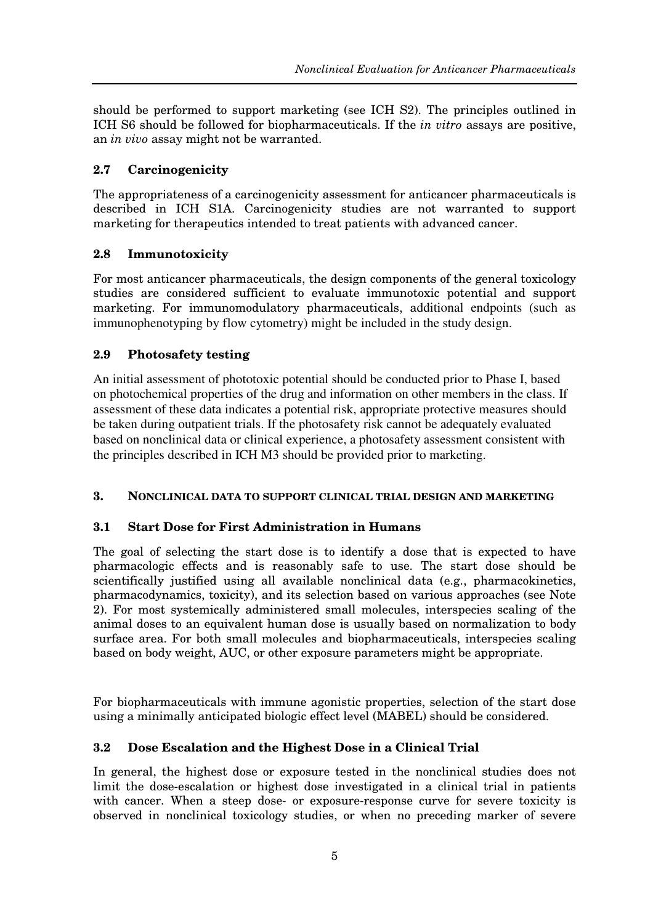should be performed to support marketing (see ICH S2). The principles outlined in ICH S6 should be followed for biopharmaceuticals. If the *in vitro* assays are positive, an *in vivo* assay might not be warranted.

## **2.7 Carcinogenicity**

The appropriateness of a carcinogenicity assessment for anticancer pharmaceuticals is described in ICH S1A. Carcinogenicity studies are not warranted to support marketing for therapeutics intended to treat patients with advanced cancer.

## **2.8 Immunotoxicity**

For most anticancer pharmaceuticals, the design components of the general toxicology studies are considered sufficient to evaluate immunotoxic potential and support marketing. For immunomodulatory pharmaceuticals, additional endpoints (such as immunophenotyping by flow cytometry) might be included in the study design.

## **2.9 Photosafety testing**

An initial assessment of phototoxic potential should be conducted prior to Phase I, based on photochemical properties of the drug and information on other members in the class. If assessment of these data indicates a potential risk, appropriate protective measures should be taken during outpatient trials. If the photosafety risk cannot be adequately evaluated based on nonclinical data or clinical experience, a photosafety assessment consistent with the principles described in ICH M3 should be provided prior to marketing.

## **3. NONCLINICAL DATA TO SUPPORT CLINICAL TRIAL DESIGN AND MARKETING**

## **3.1 Start Dose for First Administration in Humans**

The goal of selecting the start dose is to identify a dose that is expected to have pharmacologic effects and is reasonably safe to use. The start dose should be scientifically justified using all available nonclinical data (e.g., pharmacokinetics, pharmacodynamics, toxicity), and its selection based on various approaches (see Note 2). For most systemically administered small molecules, interspecies scaling of the animal doses to an equivalent human dose is usually based on normalization to body surface area. For both small molecules and biopharmaceuticals, interspecies scaling based on body weight, AUC, or other exposure parameters might be appropriate.

For biopharmaceuticals with immune agonistic properties, selection of the start dose using a minimally anticipated biologic effect level (MABEL) should be considered.

## **3.2 Dose Escalation and the Highest Dose in a Clinical Trial**

In general, the highest dose or exposure tested in the nonclinical studies does not limit the dose-escalation or highest dose investigated in a clinical trial in patients with cancer. When a steep dose- or exposure-response curve for severe toxicity is observed in nonclinical toxicology studies, or when no preceding marker of severe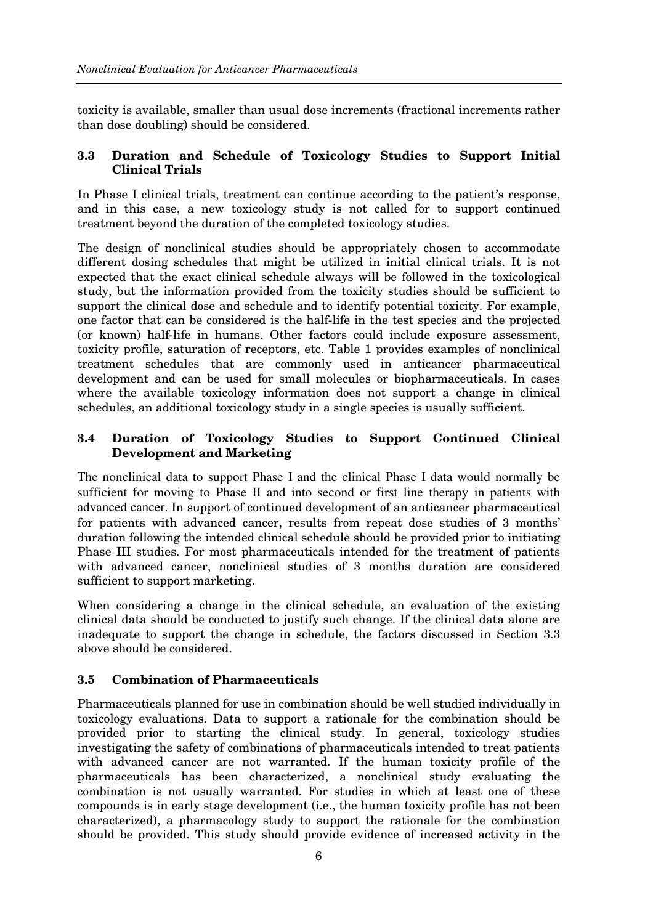toxicity is available, smaller than usual dose increments (fractional increments rather than dose doubling) should be considered.

#### **3.3 Duration and Schedule of Toxicology Studies to Support Initial Clinical Trials**

In Phase I clinical trials, treatment can continue according to the patient's response, and in this case, a new toxicology study is not called for to support continued treatment beyond the duration of the completed toxicology studies.

The design of nonclinical studies should be appropriately chosen to accommodate different dosing schedules that might be utilized in initial clinical trials. It is not expected that the exact clinical schedule always will be followed in the toxicological study, but the information provided from the toxicity studies should be sufficient to support the clinical dose and schedule and to identify potential toxicity. For example, one factor that can be considered is the half-life in the test species and the projected (or known) half-life in humans. Other factors could include exposure assessment, toxicity profile, saturation of receptors, etc. Table 1 provides examples of nonclinical treatment schedules that are commonly used in anticancer pharmaceutical development and can be used for small molecules or biopharmaceuticals. In cases where the available toxicology information does not support a change in clinical schedules, an additional toxicology study in a single species is usually sufficient.

#### **3.4 Duration of Toxicology Studies to Support Continued Clinical Development and Marketing**

The nonclinical data to support Phase I and the clinical Phase I data would normally be sufficient for moving to Phase II and into second or first line therapy in patients with advanced cancer. In support of continued development of an anticancer pharmaceutical for patients with advanced cancer, results from repeat dose studies of 3 months' duration following the intended clinical schedule should be provided prior to initiating Phase III studies. For most pharmaceuticals intended for the treatment of patients with advanced cancer, nonclinical studies of 3 months duration are considered sufficient to support marketing.

When considering a change in the clinical schedule, an evaluation of the existing clinical data should be conducted to justify such change. If the clinical data alone are inadequate to support the change in schedule, the factors discussed in Section 3.3 above should be considered.

## **3.5 Combination of Pharmaceuticals**

Pharmaceuticals planned for use in combination should be well studied individually in toxicology evaluations. Data to support a rationale for the combination should be provided prior to starting the clinical study. In general, toxicology studies investigating the safety of combinations of pharmaceuticals intended to treat patients with advanced cancer are not warranted. If the human toxicity profile of the pharmaceuticals has been characterized, a nonclinical study evaluating the combination is not usually warranted. For studies in which at least one of these compounds is in early stage development (i.e., the human toxicity profile has not been characterized), a pharmacology study to support the rationale for the combination should be provided. This study should provide evidence of increased activity in the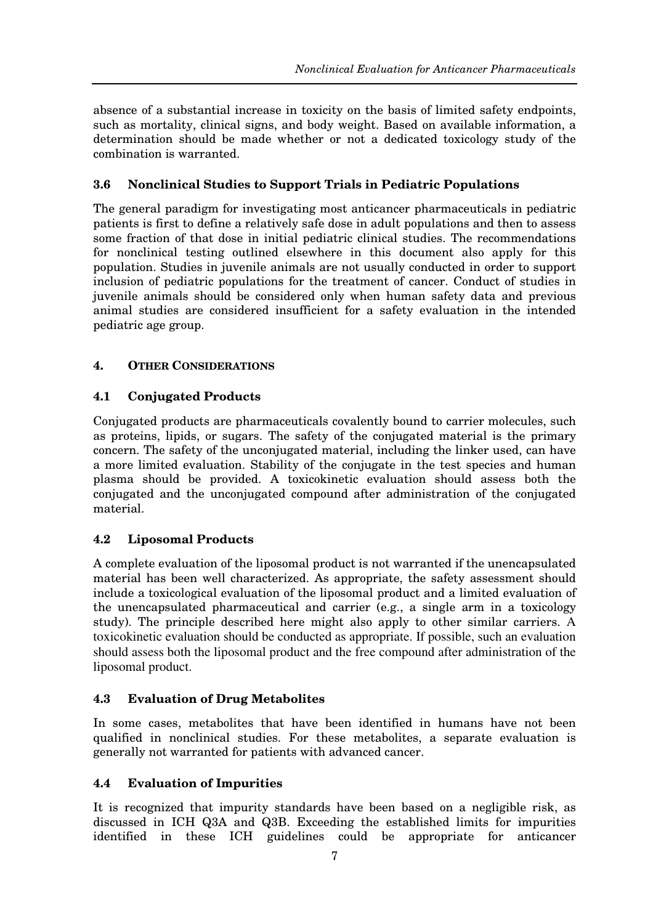absence of a substantial increase in toxicity on the basis of limited safety endpoints, such as mortality, clinical signs, and body weight. Based on available information, a determination should be made whether or not a dedicated toxicology study of the combination is warranted.

## **3.6 Nonclinical Studies to Support Trials in Pediatric Populations**

The general paradigm for investigating most anticancer pharmaceuticals in pediatric patients is first to define a relatively safe dose in adult populations and then to assess some fraction of that dose in initial pediatric clinical studies. The recommendations for nonclinical testing outlined elsewhere in this document also apply for this population. Studies in juvenile animals are not usually conducted in order to support inclusion of pediatric populations for the treatment of cancer. Conduct of studies in juvenile animals should be considered only when human safety data and previous animal studies are considered insufficient for a safety evaluation in the intended pediatric age group.

## **4. OTHER CONSIDERATIONS**

## **4.1 Conjugated Products**

Conjugated products are pharmaceuticals covalently bound to carrier molecules, such as proteins, lipids, or sugars. The safety of the conjugated material is the primary concern. The safety of the unconjugated material, including the linker used, can have a more limited evaluation. Stability of the conjugate in the test species and human plasma should be provided. A toxicokinetic evaluation should assess both the conjugated and the unconjugated compound after administration of the conjugated material.

## **4.2 Liposomal Products**

A complete evaluation of the liposomal product is not warranted if the unencapsulated material has been well characterized. As appropriate, the safety assessment should include a toxicological evaluation of the liposomal product and a limited evaluation of the unencapsulated pharmaceutical and carrier (e.g., a single arm in a toxicology study). The principle described here might also apply to other similar carriers. A toxicokinetic evaluation should be conducted as appropriate. If possible, such an evaluation should assess both the liposomal product and the free compound after administration of the liposomal product.

#### **4.3 Evaluation of Drug Metabolites**

In some cases, metabolites that have been identified in humans have not been qualified in nonclinical studies. For these metabolites, a separate evaluation is generally not warranted for patients with advanced cancer.

#### **4.4 Evaluation of Impurities**

It is recognized that impurity standards have been based on a negligible risk, as discussed in ICH Q3A and Q3B. Exceeding the established limits for impurities identified in these ICH guidelines could be appropriate for anticancer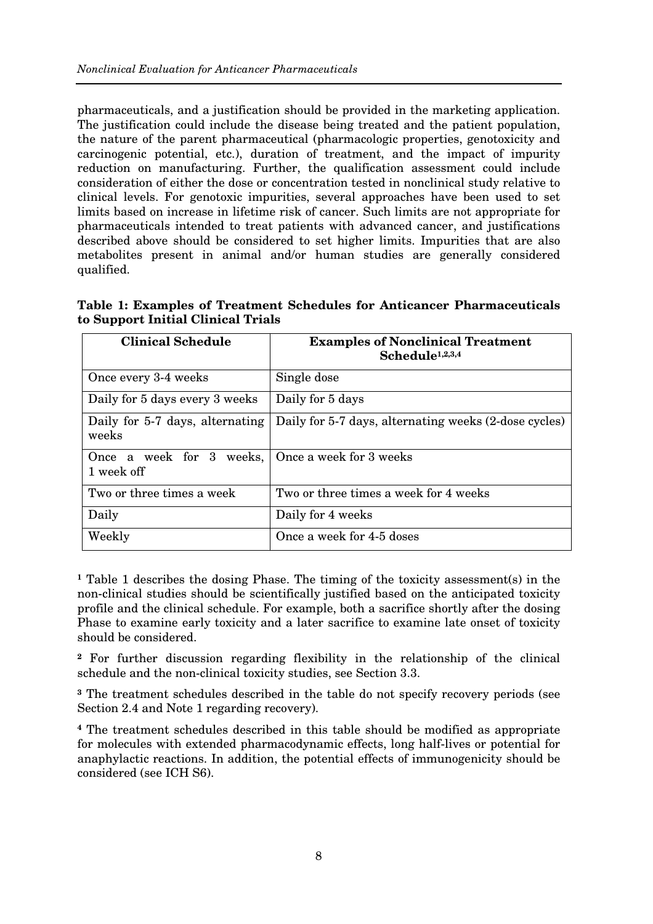pharmaceuticals, and a justification should be provided in the marketing application. The justification could include the disease being treated and the patient population, the nature of the parent pharmaceutical (pharmacologic properties, genotoxicity and carcinogenic potential, etc.), duration of treatment, and the impact of impurity reduction on manufacturing. Further, the qualification assessment could include consideration of either the dose or concentration tested in nonclinical study relative to clinical levels. For genotoxic impurities, several approaches have been used to set limits based on increase in lifetime risk of cancer. Such limits are not appropriate for pharmaceuticals intended to treat patients with advanced cancer, and justifications described above should be considered to set higher limits. Impurities that are also metabolites present in animal and/or human studies are generally considered qualified.

**Table 1: Examples of Treatment Schedules for Anticancer Pharmaceuticals to Support Initial Clinical Trials** 

| <b>Clinical Schedule</b>                                       | <b>Examples of Nonclinical Treatment</b><br>Schedule <sup>1,2,3,4</sup> |
|----------------------------------------------------------------|-------------------------------------------------------------------------|
| Once every 3-4 weeks                                           | Single dose                                                             |
| Daily for 5 days every 3 weeks                                 | Daily for 5 days                                                        |
| Daily for 5-7 days, alternating<br>weeks                       | Daily for 5-7 days, alternating weeks (2-dose cycles)                   |
| Once a week for 3 weeks, Once a week for 3 weeks<br>1 week off |                                                                         |
| Two or three times a week                                      | Two or three times a week for 4 weeks                                   |
| Daily                                                          | Daily for 4 weeks                                                       |
| Weekly                                                         | Once a week for 4-5 doses                                               |

**1** Table 1 describes the dosing Phase. The timing of the toxicity assessment(s) in the non-clinical studies should be scientifically justified based on the anticipated toxicity profile and the clinical schedule. For example, both a sacrifice shortly after the dosing Phase to examine early toxicity and a later sacrifice to examine late onset of toxicity should be considered.

**2** For further discussion regarding flexibility in the relationship of the clinical schedule and the non-clinical toxicity studies, see Section 3.3.

**3** The treatment schedules described in the table do not specify recovery periods (see Section 2.4 and Note 1 regarding recovery).

**4** The treatment schedules described in this table should be modified as appropriate for molecules with extended pharmacodynamic effects, long half-lives or potential for anaphylactic reactions. In addition, the potential effects of immunogenicity should be considered (see ICH S6).